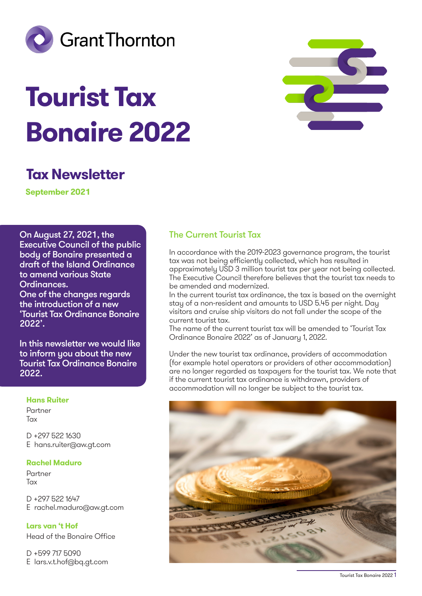

# **Tourist Tax Bonaire 2022**



# **Tax Newsletter**

**September 2021**

On August 27, 2021, the Executive Council of the public body of Bonaire presented a draft of the Island Ordinance to amend various State Ordinances. One of the changes regards the introduction of a new 'Tourist Tax Ordinance Bonaire 2022'.

In this newsletter we would like to inform you about the new Tourist Tax Ordinance Bonaire 2022.

#### **Hans Ruiter**

Partner Tax

D +297 522 1630 E hans.ruiter@aw.gt.com

#### **Rachel Maduro**

Partner **Tax** 

D +297 522 1647 E rachel.maduro@aw.gt.com

**Lars van 't Hof** Head of the Bonaire Office

D +599 717 5090 E lars.v.t.hof@bq.gt.com

# The Current Tourist Tax

In accordance with the 2019-2023 governance program, the tourist tax was not being efficiently collected, which has resulted in approximately USD 3 million tourist tax per year not being collected. The Executive Council therefore believes that the tourist tax needs to be amended and modernized.

In the current tourist tax ordinance, the tax is based on the overnight stay of a non-resident and amounts to USD 5.45 per night. Day visitors and cruise ship visitors do not fall under the scope of the current tourist tax.

The name of the current tourist tax will be amended to 'Tourist Tax Ordinance Bonaire 2022' as of January 1, 2022.

Under the new tourist tax ordinance, providers of accommodation (for example hotel operators or providers of other accommodation) are no longer regarded as taxpayers for the tourist tax. We note that if the current tourist tax ordinance is withdrawn, providers of accommodation will no longer be subject to the tourist tax.



Tourist Tax Bonaire 2022 1